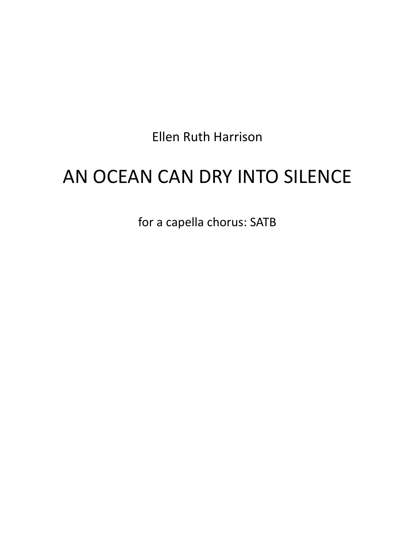**Ellen Ruth Harrison** 

## AN OCEAN CAN DRY INTO SILENCE

for a capella chorus: SATB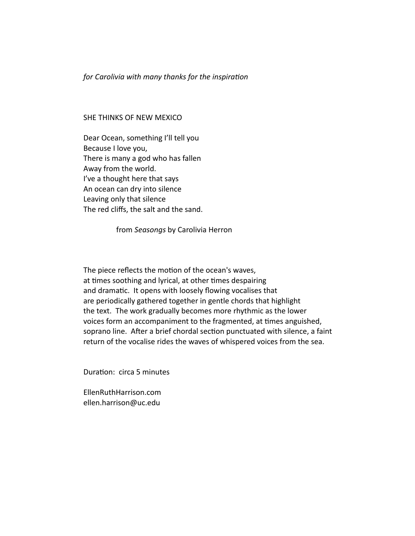*for Carolivia with many thanks for the inspiration* 

## SHE THINKS OF NEW MEXICO

Dear Ocean, something I'll tell you Because I love you, There is many a god who has fallen Away from the world. I've a thought here that says An ocean can dry into silence Leaving only that silence The red cliffs, the salt and the sand.

from *Seasongs* by Carolivia Herron

The piece reflects the motion of the ocean's waves, at times soothing and lyrical, at other times despairing and dramatic. It opens with loosely flowing vocalises that are periodically gathered together in gentle chords that highlight the text. The work gradually becomes more rhythmic as the lower voices form an accompaniment to the fragmented, at times anguished, soprano line. After a brief chordal section punctuated with silence, a faint return of the vocalise rides the waves of whispered voices from the sea.

Duration: circa 5 minutes

EllenRuthHarrison.com ellen.harrison@uc.edu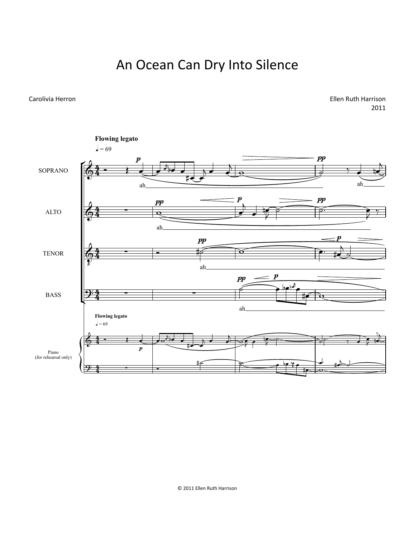## An Ocean Can Dry Into Silence

Carolivia Herron **Ellen** Ruth Harrison 2011



© 2011 Ellen Ruth Harrison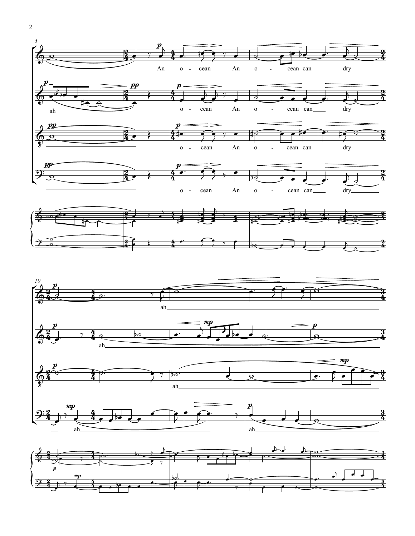

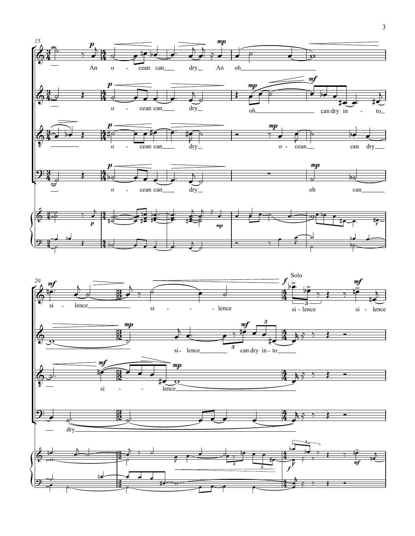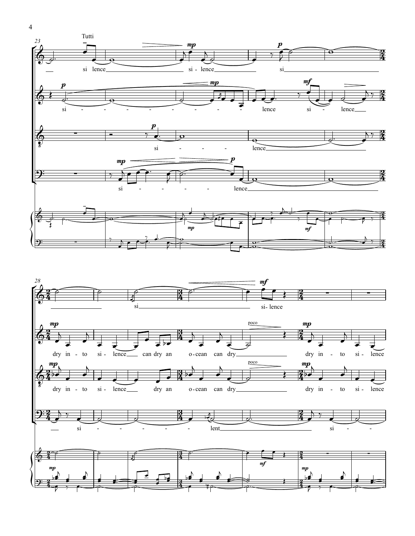

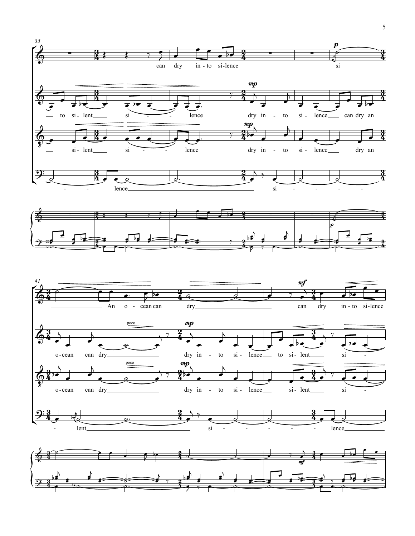

<sup>5</sup>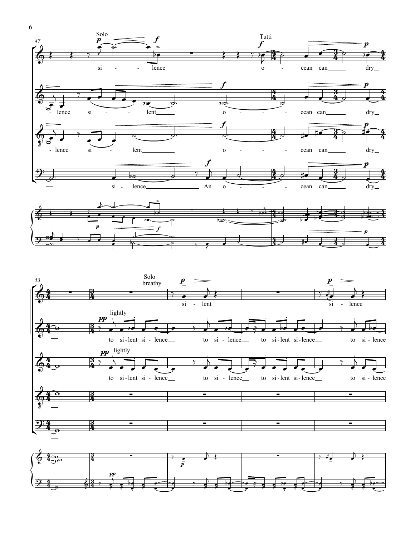

4  $\frac{4}{4}$ 

 $9\frac{4}{4}$   $\frac{2}{9}$ 

3 4

 $\frac{1}{2}$   $\frac{1}{2}$   $\frac{1}{2}$   $\frac{1}{2}$   $\frac{1}{2}$ 

pp<br> $\mathop{\rightarrow}\limits^{\text{pp}}$ 

 $\overline{\cdot}$ 

 $\frac{1}{2}$   $\frac{1}{2}$   $\frac{1}{2}$ 

œ j œ <sup>œ</sup> <sup>œ</sup>

 $\frac{1}{2}$ 

 $\cdot$   $\frac{1}{2}$   $\frac{1}{2}$ œ  $\blacksquare$ œ  $\frac{1}{2}$ œ .  $\frac{1}{\epsilon}$  : œ  $\equiv$  $\overline{\cdot}$ 

 $\frac{1}{2}$   $\frac{1}{2}$   $\frac{1}{2}$ 

œ . j œ œ  $\frac{1}{2}$ bœ

œ . œ œ  $\ddot{\phantom{a}}$ œ .  $\frac{1}{\epsilon}$  : œ  $\frac{1}{2}$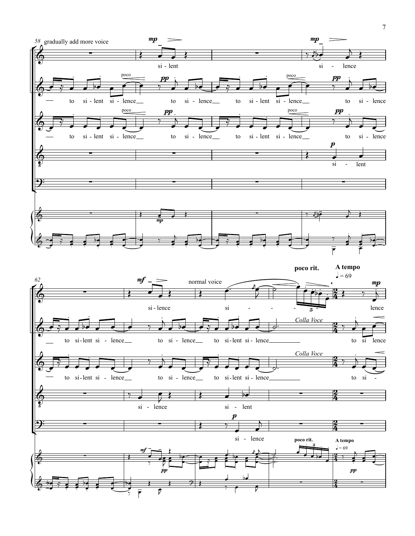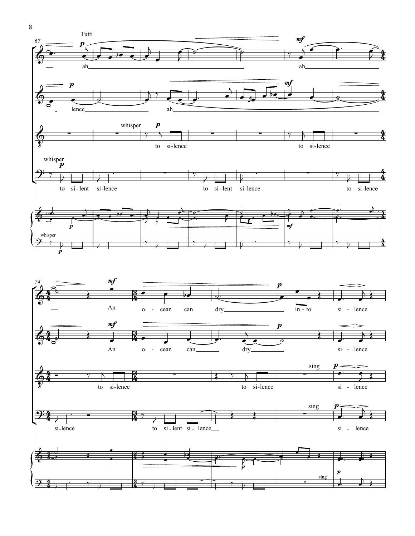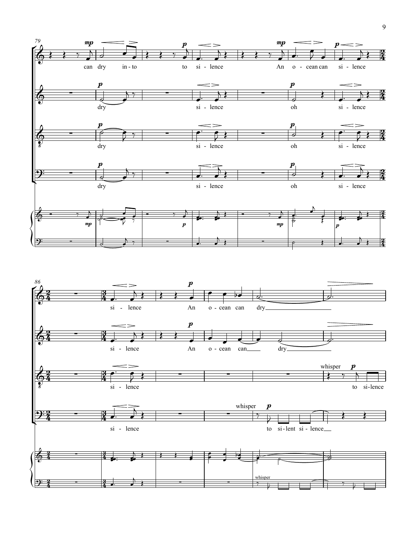